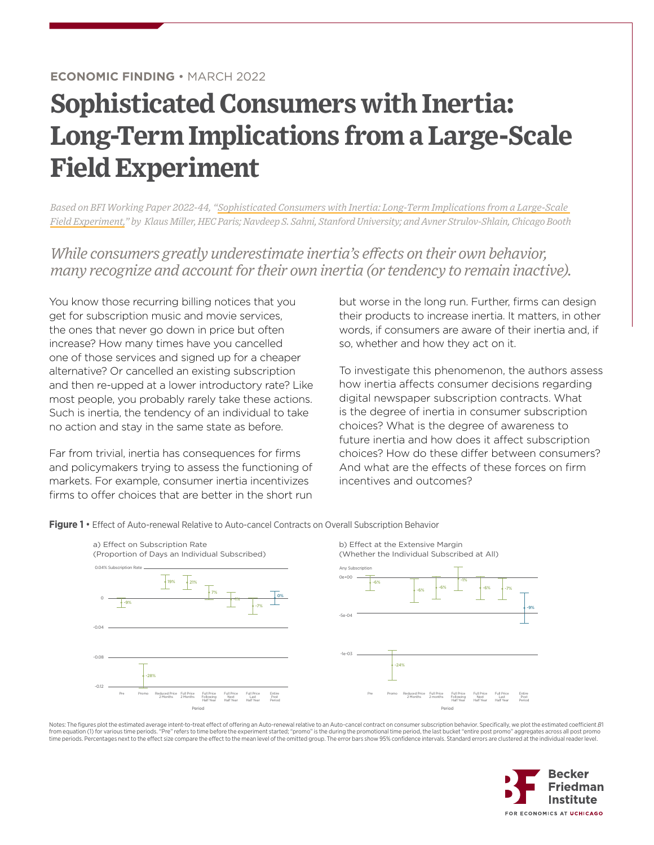## **Sophisticated Consumers with Inertia: Long-Term Implications from a Large-Scale Field Experiment**

*Based on BFI Working Paper 2022-44, ["Sophisticated Consumers with Inertia: Long-Term Implications from a Large-Scale](https://bfi.uchicago.edu/working-paper/sophisticated-consumers-with-inertia-long-term-implications-from-a-large-scale-field-experiment/)  [Field Experiment](https://bfi.uchicago.edu/working-paper/sophisticated-consumers-with-inertia-long-term-implications-from-a-large-scale-field-experiment/)," by Klaus Miller, HEC Paris; Navdeep S. Sahni, Stanford University; and Avner Strulov-Shlain, Chicago Booth*

*While consumers greatly underestimate inertia's effects on their own behavior, many recognize and account for their own inertia (or tendency to remain inactive).* 

You know those recurring billing notices that you get for subscription music and movie services, the ones that never go down in price but often increase? How many times have you cancelled one of those services and signed up for a cheaper alternative? Or cancelled an existing subscription and then re-upped at a lower introductory rate? Like most people, you probably rarely take these actions. Such is inertia, the tendency of an individual to take no action and stay in the same state as before.

Far from trivial, inertia has consequences for firms and policymakers trying to assess the functioning of markets. For example, consumer inertia incentivizes firms to offer choices that are better in the short run but worse in the long run. Further, firms can design their products to increase inertia. It matters, in other words, if consumers are aware of their inertia and, if so, whether and how they act on it.

To investigate this phenomenon, the authors assess how inertia affects consumer decisions regarding digital newspaper subscription contracts. What is the degree of inertia in consumer subscription choices? What is the degree of awareness to future inertia and how does it affect subscription choices? How do these differ between consumers? And what are the effects of these forces on firm incentives and outcomes?

**Figure 1 •** Effect of Auto-renewal Relative to Auto-cancel Contracts on Overall Subscription Behavior



from equation (1) for various time periods. "Pre" refers to time before the experiment started; "promo" is the during the promotional time period, the last bucket "entire post promo" aggregates across all post promo time periods. Percentages next to the effect size compare the effect to the mean level of the omitted group. The error bars show 95% confidence intervals. Standard errors are clustered at the individual reader level. Notes: The figures plot the estimated average intent-to-treat effect of offering an Auto-renewal relative to an Auto-cancel contract on consumer subscription behavior. Specifically, we plot the estimated coefficient B1